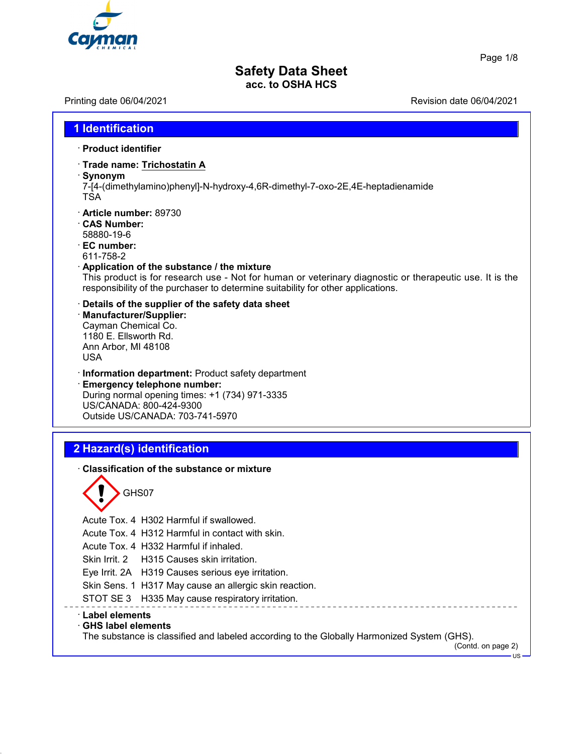

Page 1/8

## **Safety Data Sheet acc. to OSHA HCS**

**1 Identification**

Printing date 06/04/2021 Revision date 06/04/2021

# · **Product identifier** · **Trade name: Trichostatin A** · **Synonym** 7-[4-(dimethylamino)phenyl]-N-hydroxy-4,6R-dimethyl-7-oxo-2E,4E-heptadienamide **TSA** · **Article number:** 89730 · **CAS Number:** 58880-19-6 · **EC number:** 611-758-2 · **Application of the substance / the mixture** This product is for research use - Not for human or veterinary diagnostic or therapeutic use. It is the responsibility of the purchaser to determine suitability for other applications. · **Details of the supplier of the safety data sheet** · **Manufacturer/Supplier:** Cayman Chemical Co. 1180 E. Ellsworth Rd. Ann Arbor, MI 48108 USA · **Information department:** Product safety department · **Emergency telephone number:** During normal opening times: +1 (734) 971-3335 US/CANADA: 800-424-9300 Outside US/CANADA: 703-741-5970 **2 Hazard(s) identification** · **Classification of the substance or mixture** GHS07 Acute Tox. 4 H302 Harmful if swallowed. Acute Tox. 4 H312 Harmful in contact with skin. Acute Tox. 4 H332 Harmful if inhaled. Skin Irrit. 2 H315 Causes skin irritation. Eye Irrit. 2A H319 Causes serious eye irritation. Skin Sens. 1 H317 May cause an allergic skin reaction. STOT SE 3 H335 May cause respiratory irritation. · **Label elements** · **GHS label elements** The substance is classified and labeled according to the Globally Harmonized System (GHS).

(Contd. on page 2)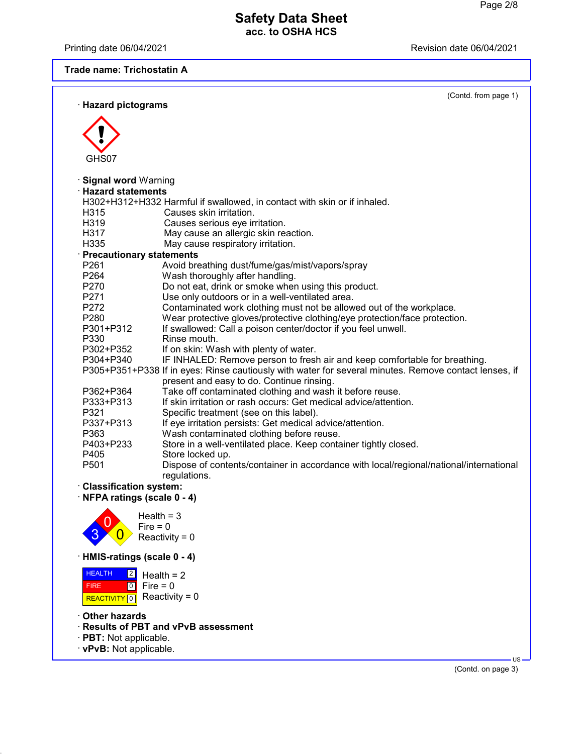Printing date 06/04/2021 **Printing date 06/04/2021** 

## **Trade name: Trichostatin A**

| · Hazard pictograms        | (Contd. from page 1)                                                                                                                               |  |
|----------------------------|----------------------------------------------------------------------------------------------------------------------------------------------------|--|
|                            |                                                                                                                                                    |  |
|                            |                                                                                                                                                    |  |
| GHS07                      |                                                                                                                                                    |  |
| · Signal word Warning      |                                                                                                                                                    |  |
| <b>Hazard statements</b>   |                                                                                                                                                    |  |
|                            | H302+H312+H332 Harmful if swallowed, in contact with skin or if inhaled.                                                                           |  |
| H315                       | Causes skin irritation.                                                                                                                            |  |
| H319                       | Causes serious eye irritation.                                                                                                                     |  |
| H317                       | May cause an allergic skin reaction.                                                                                                               |  |
| H335                       | May cause respiratory irritation.                                                                                                                  |  |
| · Precautionary statements |                                                                                                                                                    |  |
| P261                       | Avoid breathing dust/fume/gas/mist/vapors/spray                                                                                                    |  |
| P264                       | Wash thoroughly after handling.                                                                                                                    |  |
| P270                       | Do not eat, drink or smoke when using this product.                                                                                                |  |
| P271                       | Use only outdoors or in a well-ventilated area.                                                                                                    |  |
| P272                       | Contaminated work clothing must not be allowed out of the workplace.                                                                               |  |
| P280                       | Wear protective gloves/protective clothing/eye protection/face protection.                                                                         |  |
| P301+P312                  | If swallowed: Call a poison center/doctor if you feel unwell.                                                                                      |  |
| P330                       | Rinse mouth.                                                                                                                                       |  |
| P302+P352                  | If on skin: Wash with plenty of water.                                                                                                             |  |
| P304+P340                  | IF INHALED: Remove person to fresh air and keep comfortable for breathing.                                                                         |  |
|                            | P305+P351+P338 If in eyes: Rinse cautiously with water for several minutes. Remove contact lenses, if<br>present and easy to do. Continue rinsing. |  |
| P362+P364                  | Take off contaminated clothing and wash it before reuse.                                                                                           |  |
| P333+P313                  | If skin irritation or rash occurs: Get medical advice/attention.                                                                                   |  |
| P321                       | Specific treatment (see on this label).                                                                                                            |  |
| P337+P313                  | If eye irritation persists: Get medical advice/attention.                                                                                          |  |
| P363                       | Wash contaminated clothing before reuse.                                                                                                           |  |
| P403+P233                  | Store in a well-ventilated place. Keep container tightly closed.                                                                                   |  |
| P405                       | Store locked up.                                                                                                                                   |  |
| P <sub>501</sub>           | Dispose of contents/container in accordance with local/regional/national/international                                                             |  |
|                            | regulations.                                                                                                                                       |  |
| · Classification system:   |                                                                                                                                                    |  |
| NFPA ratings (scale 0 - 4) |                                                                                                                                                    |  |
|                            |                                                                                                                                                    |  |



# · **HMIS-ratings (scale 0 - 4)**

| <b>HEALTH</b> | $\frac{2}{2}$ Health = 2               |
|---------------|----------------------------------------|
| <b>FIRE</b>   | $\textsf{I} \circ \textsf{I}$ Fire = 0 |
|               | REACTIVITY 0 Reactivity = 0            |

- · **Other hazards**
- · **Results of PBT and vPvB assessment**
- · **PBT:** Not applicable.
- · **vPvB:** Not applicable.

(Contd. on page 3)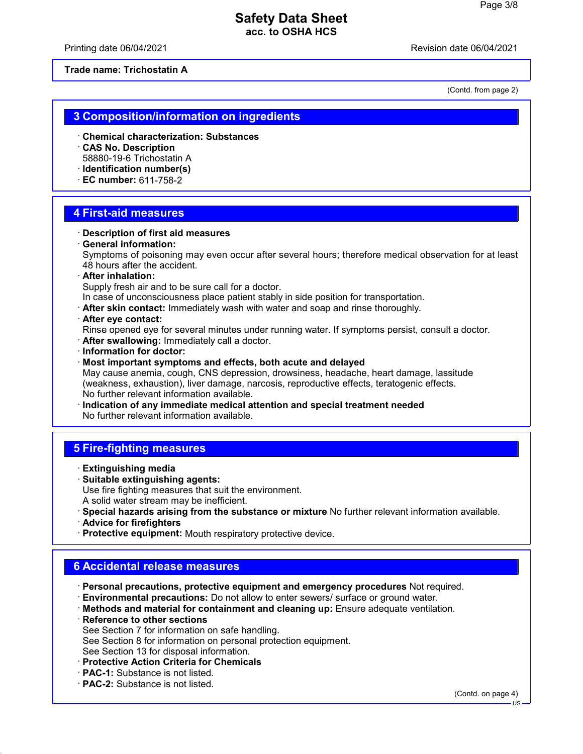Printing date 06/04/2021 Revision date 06/04/2021

**Trade name: Trichostatin A**

(Contd. from page 2)

## **3 Composition/information on ingredients**

- · **Chemical characterization: Substances**
- · **CAS No. Description** 58880-19-6 Trichostatin A
- · **Identification number(s)**
- · **EC number:** 611-758-2

## **4 First-aid measures**

- · **Description of first aid measures**
- · **General information:**

Symptoms of poisoning may even occur after several hours; therefore medical observation for at least 48 hours after the accident.

· **After inhalation:**

Supply fresh air and to be sure call for a doctor.

- In case of unconsciousness place patient stably in side position for transportation.
- · **After skin contact:** Immediately wash with water and soap and rinse thoroughly.

### · **After eye contact:**

Rinse opened eye for several minutes under running water. If symptoms persist, consult a doctor.

- · **After swallowing:** Immediately call a doctor.
- · **Information for doctor:**
- · **Most important symptoms and effects, both acute and delayed**

May cause anemia, cough, CNS depression, drowsiness, headache, heart damage, lassitude (weakness, exhaustion), liver damage, narcosis, reproductive effects, teratogenic effects. No further relevant information available.

· **Indication of any immediate medical attention and special treatment needed** No further relevant information available.

# **5 Fire-fighting measures**

- · **Extinguishing media**
- · **Suitable extinguishing agents:**

Use fire fighting measures that suit the environment.

- A solid water stream may be inefficient.
- · **Special hazards arising from the substance or mixture** No further relevant information available.
- · **Advice for firefighters**
- · **Protective equipment:** Mouth respiratory protective device.

## **6 Accidental release measures**

- · **Personal precautions, protective equipment and emergency procedures** Not required.
- · **Environmental precautions:** Do not allow to enter sewers/ surface or ground water.
- · **Methods and material for containment and cleaning up:** Ensure adequate ventilation.
- · **Reference to other sections**
- See Section 7 for information on safe handling.
- See Section 8 for information on personal protection equipment.
- See Section 13 for disposal information.
- · **Protective Action Criteria for Chemicals**
- · **PAC-1:** Substance is not listed.
- · **PAC-2:** Substance is not listed.

(Contd. on page 4)

US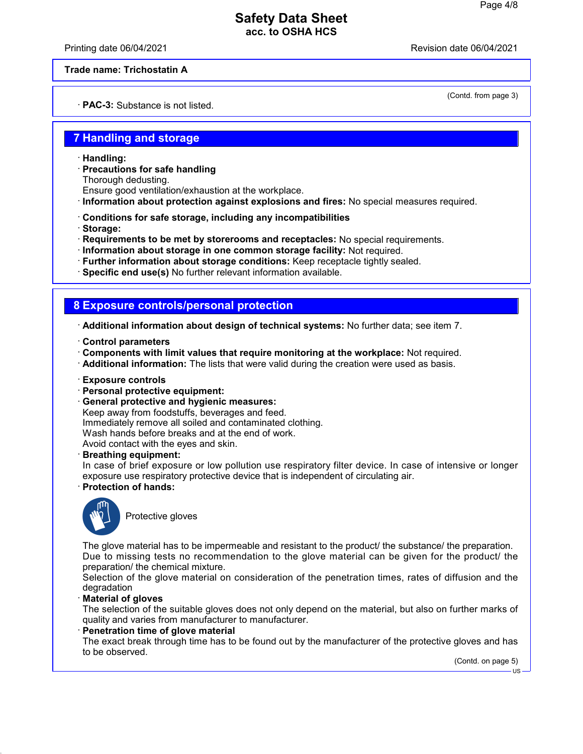Printing date 06/04/2021 Revision date 06/04/2021

(Contd. from page 3)

### **Trade name: Trichostatin A**

· **PAC-3:** Substance is not listed.

## **7 Handling and storage**

- · **Handling:**
- · **Precautions for safe handling** Thorough dedusting.
- Ensure good ventilation/exhaustion at the workplace.
- · **Information about protection against explosions and fires:** No special measures required.
- · **Conditions for safe storage, including any incompatibilities**
- · **Storage:**
- · **Requirements to be met by storerooms and receptacles:** No special requirements.
- · **Information about storage in one common storage facility:** Not required.
- · **Further information about storage conditions:** Keep receptacle tightly sealed.
- · **Specific end use(s)** No further relevant information available.

## **8 Exposure controls/personal protection**

- · **Additional information about design of technical systems:** No further data; see item 7.
- · **Control parameters**
- · **Components with limit values that require monitoring at the workplace:** Not required.
- · **Additional information:** The lists that were valid during the creation were used as basis.
- · **Exposure controls**
- · **Personal protective equipment:**
- · **General protective and hygienic measures:** Keep away from foodstuffs, beverages and feed. Immediately remove all soiled and contaminated clothing. Wash hands before breaks and at the end of work. Avoid contact with the eyes and skin.
- · **Breathing equipment:**
- In case of brief exposure or low pollution use respiratory filter device. In case of intensive or longer exposure use respiratory protective device that is independent of circulating air.
- · **Protection of hands:**



Protective gloves

The glove material has to be impermeable and resistant to the product/ the substance/ the preparation. Due to missing tests no recommendation to the glove material can be given for the product/ the preparation/ the chemical mixture.

Selection of the glove material on consideration of the penetration times, rates of diffusion and the degradation

### · **Material of gloves**

The selection of the suitable gloves does not only depend on the material, but also on further marks of quality and varies from manufacturer to manufacturer.

#### · **Penetration time of glove material**

The exact break through time has to be found out by the manufacturer of the protective gloves and has to be observed.

(Contd. on page 5)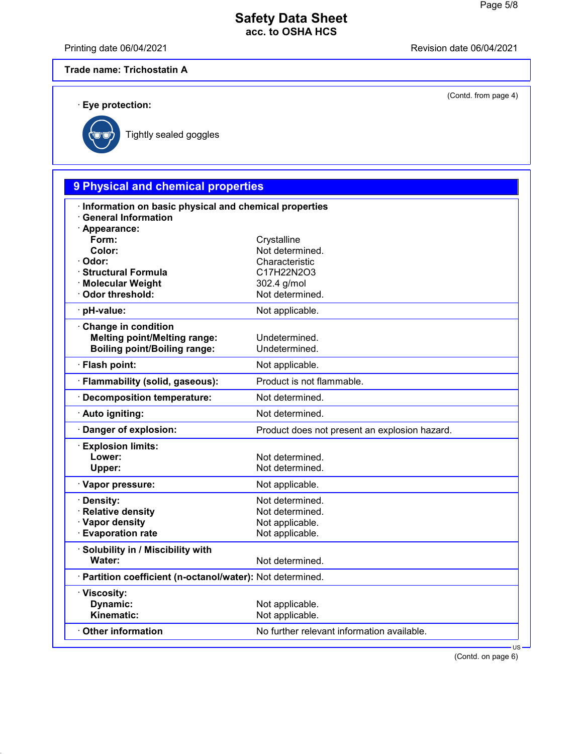Printing date 06/04/2021 Revision date 06/04/2021

(Contd. from page 4)

## **Trade name: Trichostatin A**

· **Eye protection:**



Tightly sealed goggles

# **9 Physical and chemical properties** · **Information on basic physical and chemical properties** · **General Information** · **Appearance:** Form: Crystalline **Color:** Not determined. · **Odor:** Characteristic **· Structural Formula** · **Molecular Weight** 302.4 g/mol · Odor threshold: Not determined. · **pH-value:** Not applicable. · **Change in condition Melting point/Melting range:** Undetermined. **Boiling point/Boiling range:** Undetermined. · **Flash point:** Not applicable. · **Flammability (solid, gaseous):** Product is not flammable. · **Decomposition temperature:** Not determined. · Auto igniting: Not determined. · **Danger of explosion:** Product does not present an explosion hazard. · **Explosion limits:** Lower: Not determined. **Upper:** Not determined. · **Vapor pressure:** Not applicable. **· Density:** Not determined. · **Relative density Not determined.** • **Vapor density Not applicable.**<br>• **Evaporation rate Not applicable.** · Evaporation rate · **Solubility in / Miscibility with** Water: Water: Not determined. · **Partition coefficient (n-octanol/water):** Not determined. · **Viscosity: Dynamic:** Not applicable.<br> **Kinematic:** Not applicable. Not applicable. **Other information** No further relevant information available.

(Contd. on page 6)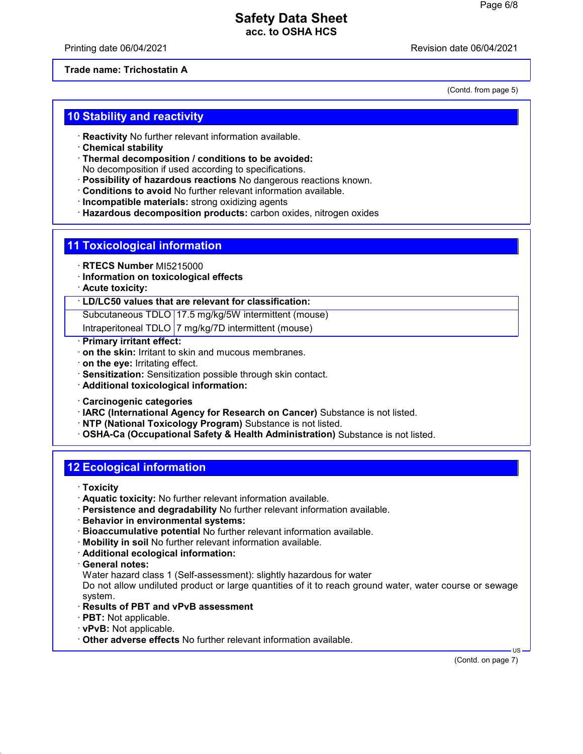Printing date 06/04/2021 Revision date 06/04/2021

#### **Trade name: Trichostatin A**

(Contd. from page 5)

## **10 Stability and reactivity**

- · **Reactivity** No further relevant information available.
- · **Chemical stability**
- · **Thermal decomposition / conditions to be avoided:**
- No decomposition if used according to specifications.
- · **Possibility of hazardous reactions** No dangerous reactions known.
- · **Conditions to avoid** No further relevant information available.
- · **Incompatible materials:** strong oxidizing agents
- · **Hazardous decomposition products:** carbon oxides, nitrogen oxides

## **11 Toxicological information**

- · **RTECS Number** MI5215000
- · **Information on toxicological effects**
- · **Acute toxicity:**

### · **LD/LC50 values that are relevant for classification:**

Subcutaneous TDLO 17.5 mg/kg/5W intermittent (mouse)

Intraperitoneal TDLO 7 mg/kg/7D intermittent (mouse)

- · **Primary irritant effect:**
- · **on the skin:** Irritant to skin and mucous membranes.
- · **on the eye:** Irritating effect.
- · **Sensitization:** Sensitization possible through skin contact.
- · **Additional toxicological information:**
- · **Carcinogenic categories**
- · **IARC (International Agency for Research on Cancer)** Substance is not listed.
- · **NTP (National Toxicology Program)** Substance is not listed.
- · **OSHA-Ca (Occupational Safety & Health Administration)** Substance is not listed.

## **12 Ecological information**

- · **Toxicity**
- · **Aquatic toxicity:** No further relevant information available.
- · **Persistence and degradability** No further relevant information available.
- · **Behavior in environmental systems:**
- · **Bioaccumulative potential** No further relevant information available.
- · **Mobility in soil** No further relevant information available.
- · **Additional ecological information:**
- · **General notes:**

Water hazard class 1 (Self-assessment): slightly hazardous for water

Do not allow undiluted product or large quantities of it to reach ground water, water course or sewage system.

- · **Results of PBT and vPvB assessment**
- · **PBT:** Not applicable.
- · **vPvB:** Not applicable.
- · **Other adverse effects** No further relevant information available.

(Contd. on page 7)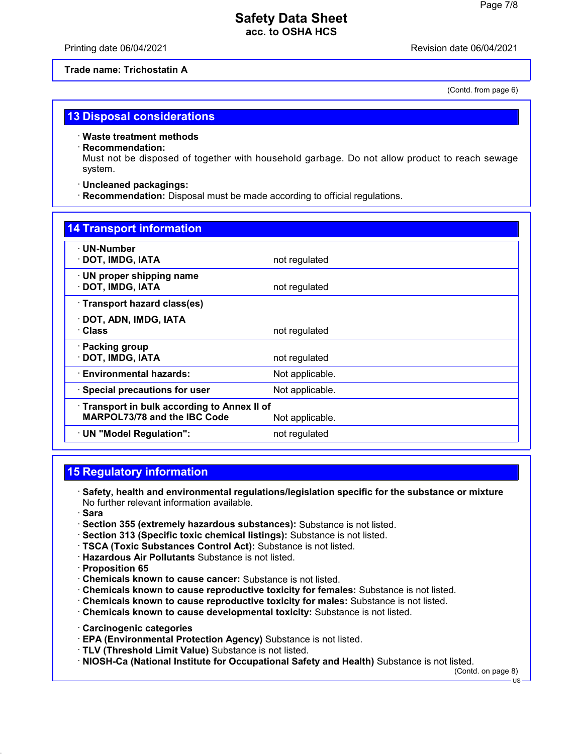Printing date 06/04/2021 Revision date 06/04/2021

### **Trade name: Trichostatin A**

(Contd. from page 6)

## **13 Disposal considerations**

· **Waste treatment methods**

### · **Recommendation:**

Must not be disposed of together with household garbage. Do not allow product to reach sewage system.

### · **Uncleaned packagings:**

· **Recommendation:** Disposal must be made according to official regulations.

| <b>14 Transport information</b>                                                                      |                 |  |  |
|------------------------------------------------------------------------------------------------------|-----------------|--|--|
| $\cdot$ UN-Number<br>· DOT, IMDG, IATA                                                               | not regulated   |  |  |
| $\cdot$ UN proper shipping name<br>· DOT, IMDG, IATA                                                 | not regulated   |  |  |
| · Transport hazard class(es)                                                                         |                 |  |  |
| DOT, ADN, IMDG, IATA<br>· Class                                                                      | not regulated   |  |  |
| · Packing group<br>· DOT, IMDG, IATA                                                                 | not regulated   |  |  |
| · Environmental hazards:                                                                             | Not applicable. |  |  |
| $\cdot$ Special precautions for user                                                                 | Not applicable. |  |  |
| Transport in bulk according to Annex II of<br><b>MARPOL73/78 and the IBC Code</b><br>Not applicable. |                 |  |  |
| · UN "Model Regulation":                                                                             | not regulated   |  |  |

# **15 Regulatory information**

- · **Safety, health and environmental regulations/legislation specific for the substance or mixture** No further relevant information available.
- · **Sara**
- · **Section 355 (extremely hazardous substances):** Substance is not listed.
- · **Section 313 (Specific toxic chemical listings):** Substance is not listed.
- · **TSCA (Toxic Substances Control Act):** Substance is not listed.
- · **Hazardous Air Pollutants** Substance is not listed.
- · **Proposition 65**
- · **Chemicals known to cause cancer:** Substance is not listed.
- · **Chemicals known to cause reproductive toxicity for females:** Substance is not listed.
- · **Chemicals known to cause reproductive toxicity for males:** Substance is not listed.
- · **Chemicals known to cause developmental toxicity:** Substance is not listed.
- · **Carcinogenic categories**
- · **EPA (Environmental Protection Agency)** Substance is not listed.
- · **TLV (Threshold Limit Value)** Substance is not listed.
- · **NIOSH-Ca (National Institute for Occupational Safety and Health)** Substance is not listed.

(Contd. on page 8)